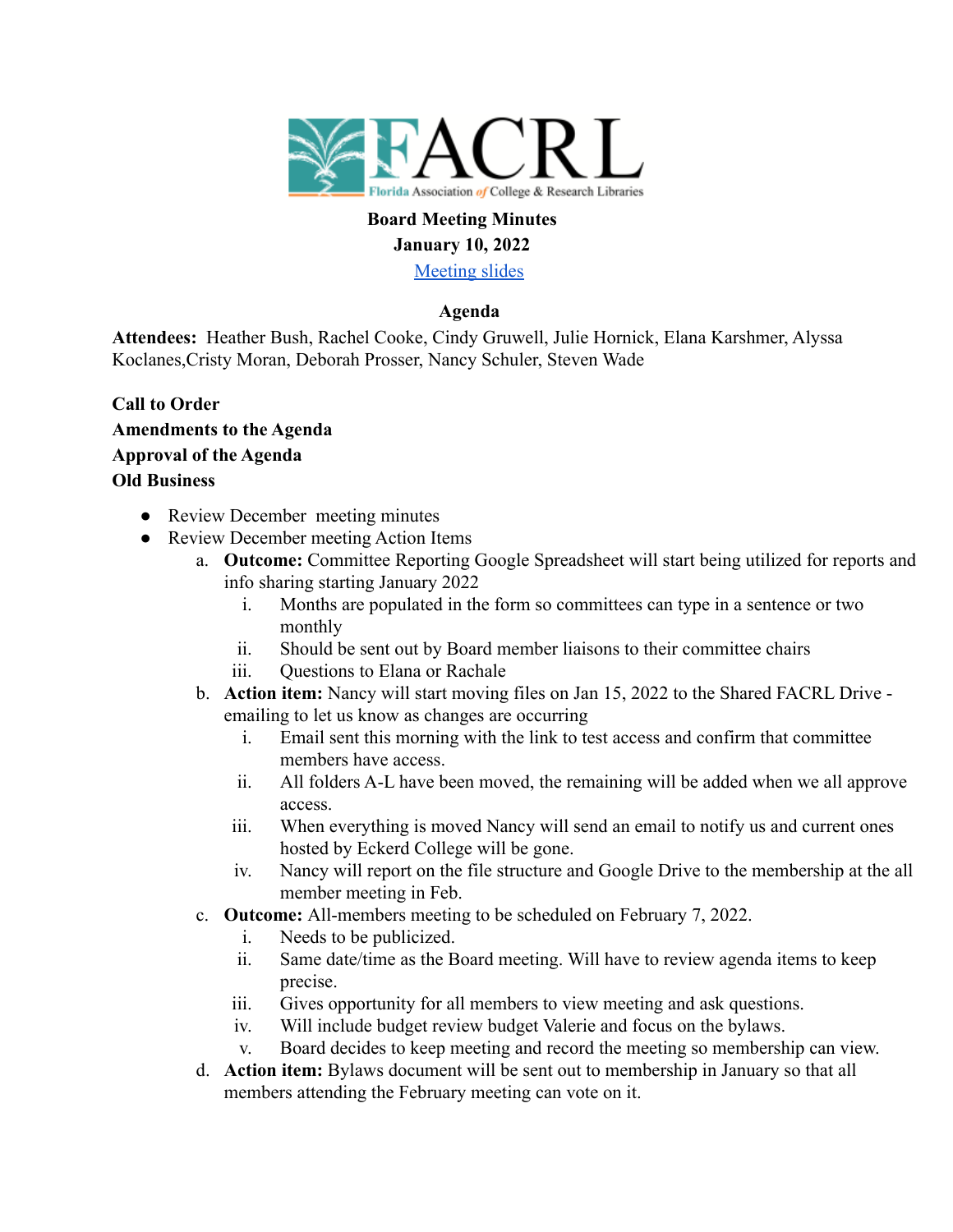

#### **Board Meeting Minutes January 10, 2022**

[Meeting slides](https://docs.google.com/presentation/d/1jCafWKGZ6WpgVZLayYZLXim9JuxMxHvZQwYMA2vMPuM/edit?usp=sharing)

## **Agenda**

**Attendees:** Heather Bush, Rachel Cooke, Cindy Gruwell, Julie Hornick, Elana Karshmer, Alyssa Koclanes,Cristy Moran, Deborah Prosser, Nancy Schuler, Steven Wade

- **Call to Order Amendments to the Agenda Approval of the Agenda Old Business**
	- Review December meeting minutes
	- Review December meeting Action Items
		- a. **Outcome:** Committee Reporting Google Spreadsheet will start being utilized for reports and info sharing starting January 2022
			- i. Months are populated in the form so committees can type in a sentence or two monthly
			- ii. Should be sent out by Board member liaisons to their committee chairs
			- iii. Ouestions to Elana or Rachale
		- b. **Action item:** Nancy will start moving files on Jan 15, 2022 to the Shared FACRL Drive emailing to let us know as changes are occurring
			- i. Email sent this morning with the link to test access and confirm that committee members have access.
			- ii. All folders A-L have been moved, the remaining will be added when we all approve access.
			- iii. When everything is moved Nancy will send an email to notify us and current ones hosted by Eckerd College will be gone.
			- iv. Nancy will report on the file structure and Google Drive to the membership at the all member meeting in Feb.
		- c. **Outcome:** All-members meeting to be scheduled on February 7, 2022.
			- i. Needs to be publicized.
			- ii. Same date/time as the Board meeting. Will have to review agenda items to keep precise.
			- iii. Gives opportunity for all members to view meeting and ask questions.
			- iv. Will include budget review budget Valerie and focus on the bylaws.
			- v. Board decides to keep meeting and record the meeting so membership can view.
		- d. **Action item:** Bylaws document will be sent out to membership in January so that all members attending the February meeting can vote on it.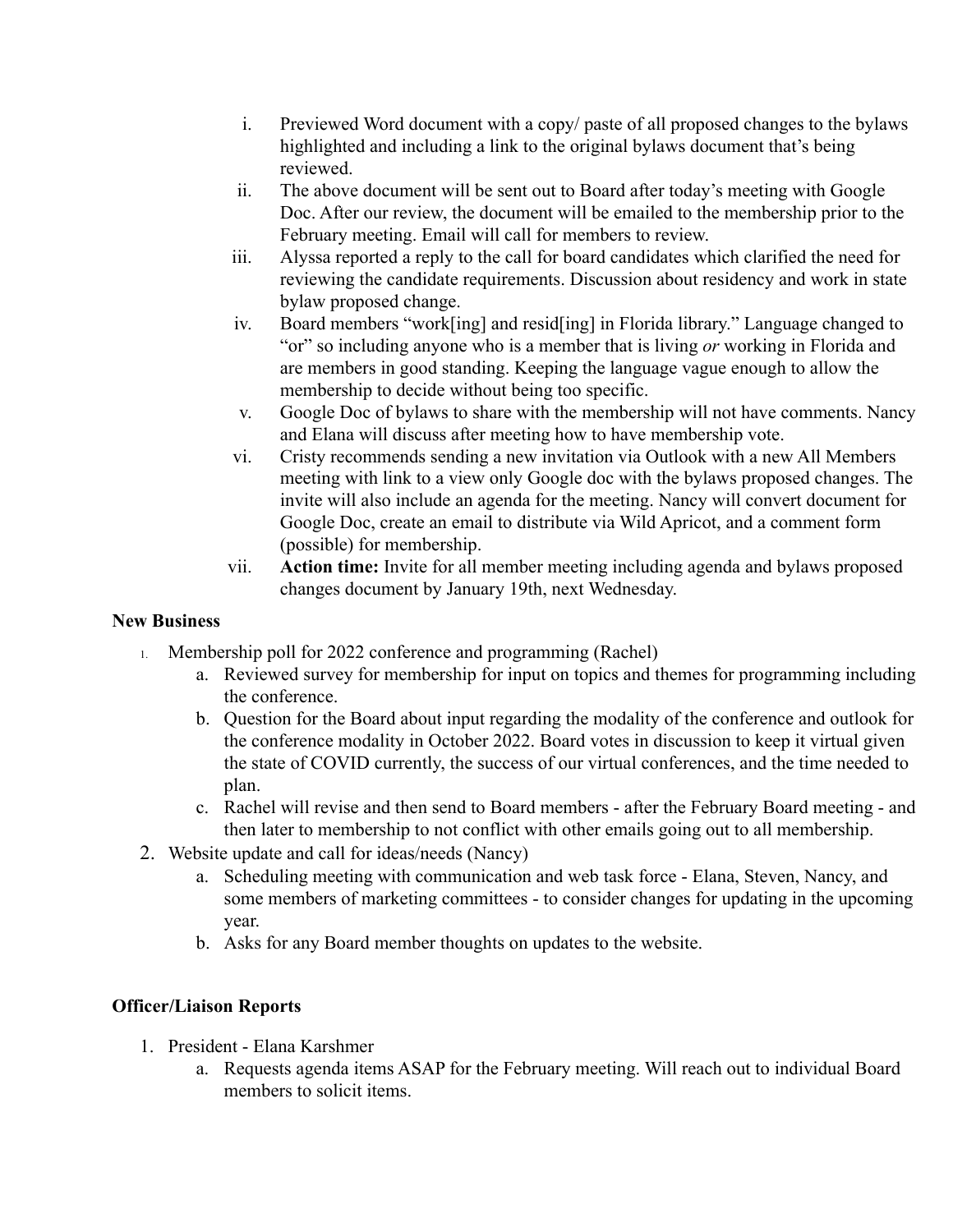- i. Previewed Word document with a copy/ paste of all proposed changes to the bylaws highlighted and including a link to the original bylaws document that's being reviewed.
- ii. The above document will be sent out to Board after today's meeting with Google Doc. After our review, the document will be emailed to the membership prior to the February meeting. Email will call for members to review.
- iii. Alyssa reported a reply to the call for board candidates which clarified the need for reviewing the candidate requirements. Discussion about residency and work in state bylaw proposed change.
- iv. Board members "work[ing] and resid[ing] in Florida library." Language changed to "or" so including anyone who is a member that is living *or* working in Florida and are members in good standing. Keeping the language vague enough to allow the membership to decide without being too specific.
- v. Google Doc of bylaws to share with the membership will not have comments. Nancy and Elana will discuss after meeting how to have membership vote.
- vi. Cristy recommends sending a new invitation via Outlook with a new All Members meeting with link to a view only Google doc with the bylaws proposed changes. The invite will also include an agenda for the meeting. Nancy will convert document for Google Doc, create an email to distribute via Wild Apricot, and a comment form (possible) for membership.
- vii. **Action time:** Invite for all member meeting including agenda and bylaws proposed changes document by January 19th, next Wednesday.

#### **New Business**

- 1. Membership poll for 2022 conference and programming (Rachel)
	- a. Reviewed survey for membership for input on topics and themes for programming including the conference.
	- b. Question for the Board about input regarding the modality of the conference and outlook for the conference modality in October 2022. Board votes in discussion to keep it virtual given the state of COVID currently, the success of our virtual conferences, and the time needed to plan.
	- c. Rachel will revise and then send to Board members after the February Board meeting and then later to membership to not conflict with other emails going out to all membership.
- 2. Website update and call for ideas/needs (Nancy)
	- a. Scheduling meeting with communication and web task force Elana, Steven, Nancy, and some members of marketing committees - to consider changes for updating in the upcoming year.
	- b. Asks for any Board member thoughts on updates to the website.

## **Officer/Liaison Reports**

- 1. President Elana Karshmer
	- a. Requests agenda items ASAP for the February meeting. Will reach out to individual Board members to solicit items.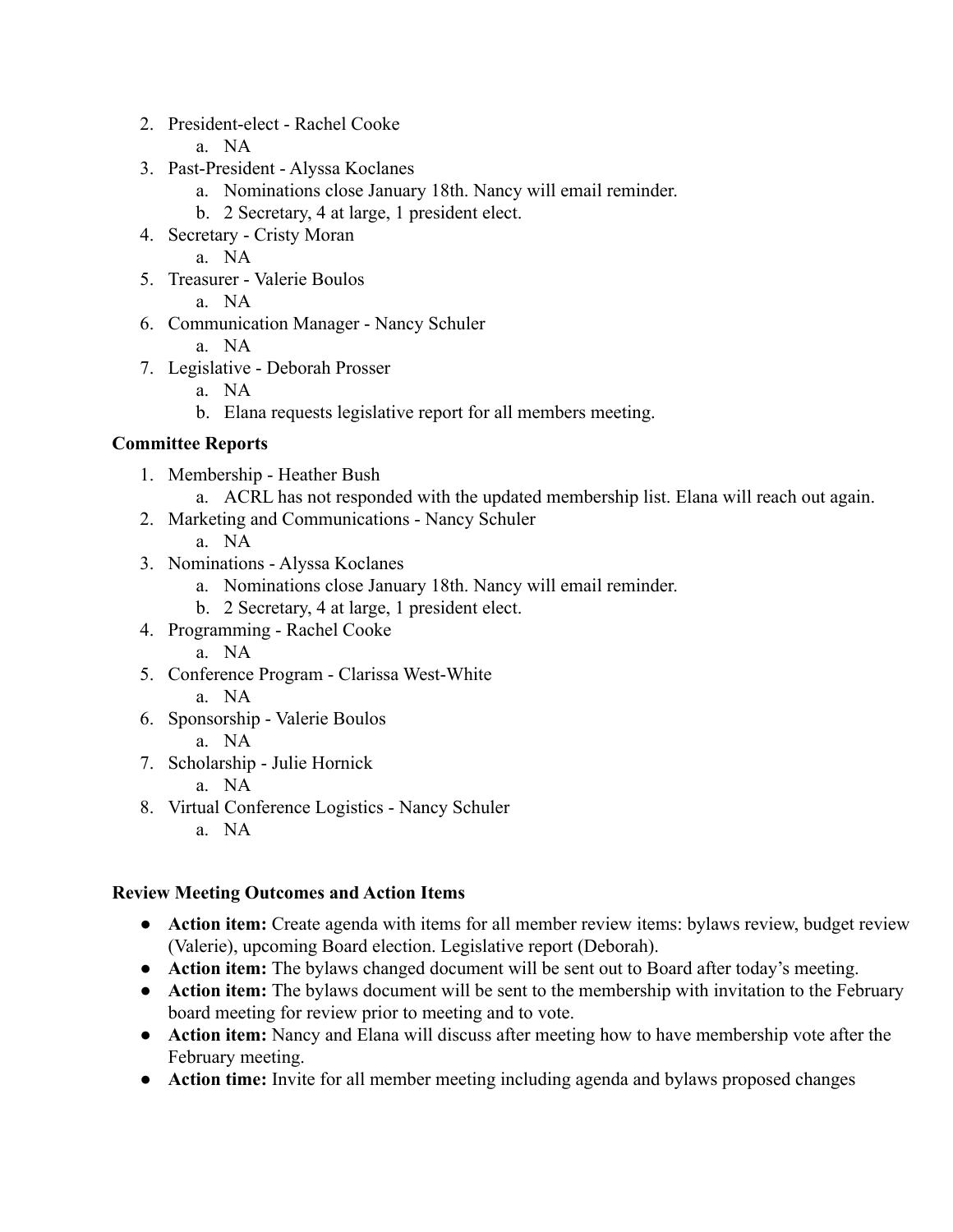- 2. President-elect Rachel Cooke
	- a. NA
- 3. Past-President Alyssa Koclanes
	- a. Nominations close January 18th. Nancy will email reminder.
	- b. 2 Secretary, 4 at large, 1 president elect.
- 4. Secretary Cristy Moran
	- a. NA
- 5. Treasurer Valerie Boulos
	- a. NA
- 6. Communication Manager Nancy Schuler
	- a. NA
- 7. Legislative Deborah Prosser
	- a. NA
	- b. Elana requests legislative report for all members meeting.

# **Committee Reports**

- 1. Membership Heather Bush
	- a. ACRL has not responded with the updated membership list. Elana will reach out again.
- 2. Marketing and Communications Nancy Schuler
	- a. NA
- 3. Nominations Alyssa Koclanes
	- a. Nominations close January 18th. Nancy will email reminder.
	- b. 2 Secretary, 4 at large, 1 president elect.
- 4. Programming Rachel Cooke
	- a. NA
- 5. Conference Program Clarissa West-White
	- a. NA
- 6. Sponsorship Valerie Boulos
	- a. NA
- 7. Scholarship Julie Hornick
	- a. NA
- 8. Virtual Conference Logistics Nancy Schuler
	- a. NA

## **Review Meeting Outcomes and Action Items**

- **Action item:** Create agenda with items for all member review items: bylaws review, budget review (Valerie), upcoming Board election. Legislative report (Deborah).
- **Action item:** The bylaws changed document will be sent out to Board after today's meeting.
- **Action item:** The bylaws document will be sent to the membership with invitation to the February board meeting for review prior to meeting and to vote.
- **Action item:** Nancy and Elana will discuss after meeting how to have membership vote after the February meeting.
- **Action time:** Invite for all member meeting including agenda and bylaws proposed changes